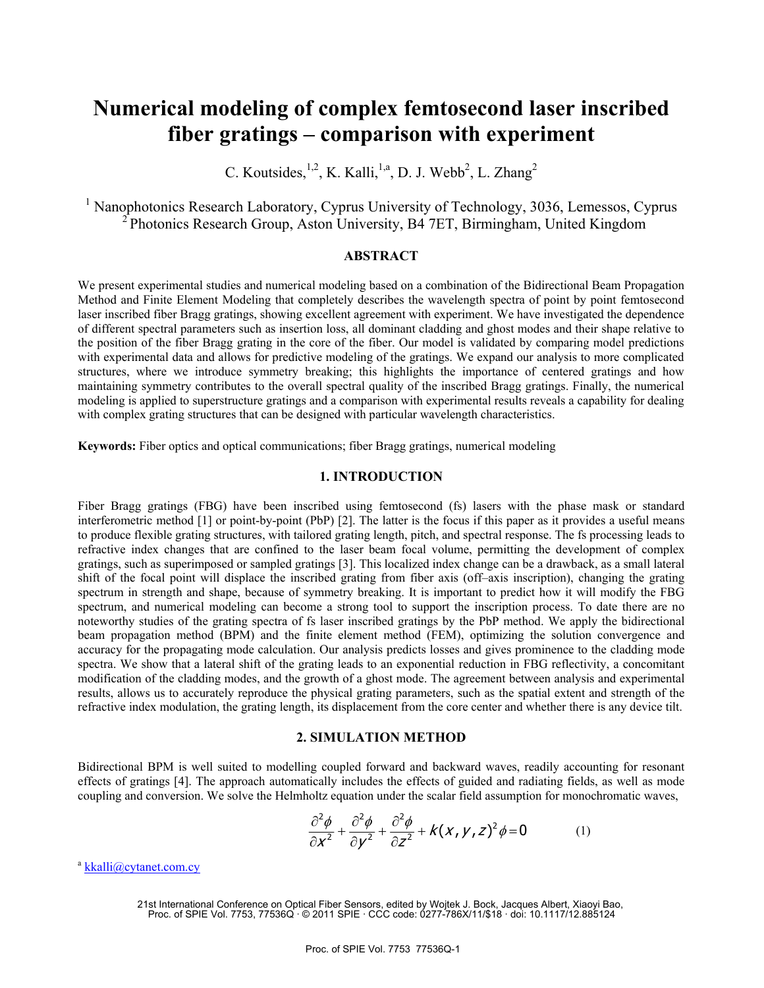# **Numerical modeling of complex femtosecond laser inscribed fiber gratings – comparison with experiment**

C. Koutsides,  $^{1,2}$ , K. Kalli,  $^{1,a}$ , D. J. Webb<sup>2</sup>, L. Zhang<sup>2</sup>

<sup>1</sup> Nanophotonics Research Laboratory, Cyprus University of Technology, 3036, Lemessos, Cyprus  $2^{2}$ Photonics Research Group, Aston University, B4 7ET, Birmingham, United Kingdom

### **ABSTRACT**

We present experimental studies and numerical modeling based on a combination of the Bidirectional Beam Propagation Method and Finite Element Modeling that completely describes the wavelength spectra of point by point femtosecond laser inscribed fiber Bragg gratings, showing excellent agreement with experiment. We have investigated the dependence of different spectral parameters such as insertion loss, all dominant cladding and ghost modes and their shape relative to the position of the fiber Bragg grating in the core of the fiber. Our model is validated by comparing model predictions with experimental data and allows for predictive modeling of the gratings. We expand our analysis to more complicated structures, where we introduce symmetry breaking; this highlights the importance of centered gratings and how maintaining symmetry contributes to the overall spectral quality of the inscribed Bragg gratings. Finally, the numerical modeling is applied to superstructure gratings and a comparison with experimental results reveals a capability for dealing with complex grating structures that can be designed with particular wavelength characteristics.

**Keywords:** Fiber optics and optical communications; fiber Bragg gratings, numerical modeling

# **1. INTRODUCTION**

Fiber Bragg gratings (FBG) have been inscribed using femtosecond (fs) lasers with the phase mask or standard interferometric method [1] or point-by-point (PbP) [2]. The latter is the focus if this paper as it provides a useful means to produce flexible grating structures, with tailored grating length, pitch, and spectral response. The fs processing leads to refractive index changes that are confined to the laser beam focal volume, permitting the development of complex gratings, such as superimposed or sampled gratings [3]. This localized index change can be a drawback, as a small lateral shift of the focal point will displace the inscribed grating from fiber axis (off–axis inscription), changing the grating spectrum in strength and shape, because of symmetry breaking. It is important to predict how it will modify the FBG spectrum, and numerical modeling can become a strong tool to support the inscription process. To date there are no noteworthy studies of the grating spectra of fs laser inscribed gratings by the PbP method. We apply the bidirectional beam propagation method (BPM) and the finite element method (FEM), optimizing the solution convergence and accuracy for the propagating mode calculation. Our analysis predicts losses and gives prominence to the cladding mode spectra. We show that a lateral shift of the grating leads to an exponential reduction in FBG reflectivity, a concomitant modification of the cladding modes, and the growth of a ghost mode. The agreement between analysis and experimental results, allows us to accurately reproduce the physical grating parameters, such as the spatial extent and strength of the refractive index modulation, the grating length, its displacement from the core center and whether there is any device tilt.

#### **2. SIMULATION METHOD**

Bidirectional BPM is well suited to modelling coupled forward and backward waves, readily accounting for resonant effects of gratings [4]. The approach automatically includes the effects of guided and radiating fields, as well as mode coupling and conversion. We solve the Helmholtz equation under the scalar field assumption for monochromatic waves,

$$
\frac{\partial^2 \phi}{\partial x^2} + \frac{\partial^2 \phi}{\partial y^2} + \frac{\partial^2 \phi}{\partial z^2} + k(x, y, z)^2 \phi = 0
$$
 (1)

<sup>a</sup> kkalli@cytanet.com.cy

<sup>21</sup>st International Conference on Optical Fiber Sensors, edited by Wojtek J. Bock, Jacques Albert, Xiaoyi Bao, Proc. of SPIE Vol. 7753, 77536Q · © 2011 SPIE · CCC code: 0277-786X/11/\$18 · doi: 10.1117/12.885124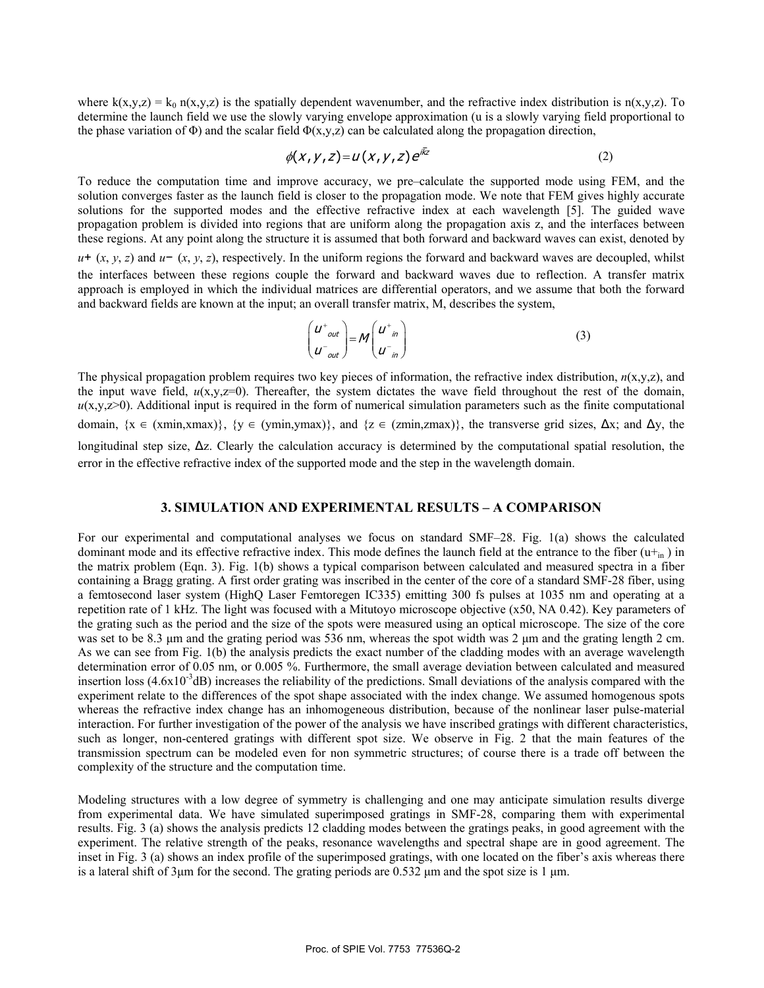where  $k(x,y,z) = k_0 n(x,y,z)$  is the spatially dependent wavenumber, and the refractive index distribution is  $n(x,y,z)$ . To determine the launch field we use the slowly varying envelope approximation (u is a slowly varying field proportional to the phase variation of  $\Phi$ ) and the scalar field  $\Phi(x,y,z)$  can be calculated along the propagation direction,

$$
\phi(X, Y, Z) = U(X, Y, Z) e^{ikz} \tag{2}
$$

To reduce the computation time and improve accuracy, we pre–calculate the supported mode using FEM, and the solution converges faster as the launch field is closer to the propagation mode. We note that FEM gives highly accurate solutions for the supported modes and the effective refractive index at each wavelength [5]. The guided wave propagation problem is divided into regions that are uniform along the propagation axis z, and the interfaces between these regions. At any point along the structure it is assumed that both forward and backward waves can exist, denoted by

*u*+ (*x*, *y*, *z*) and *u*− (*x*, *y*, *z*), respectively. In the uniform regions the forward and backward waves are decoupled, whilst the interfaces between these regions couple the forward and backward waves due to reflection. A transfer matrix approach is employed in which the individual matrices are differential operators, and we assume that both the forward and backward fields are known at the input; an overall transfer matrix, M, describes the system,

$$
\begin{pmatrix} u^+_{out} \\ u^-_{out} \end{pmatrix} = M \begin{pmatrix} u^+_{in} \\ u^-_{in} \end{pmatrix}
$$
 (3)

The physical propagation problem requires two key pieces of information, the refractive index distribution,  $n(x,y,z)$ , and the input wave field,  $u(x,y,z=0)$ . Thereafter, the system dictates the wave field throughout the rest of the domain,  $u(x,y,z>0)$ . Additional input is required in the form of numerical simulation parameters such as the finite computational domain,  $\{x \in (\text{xmin}, \text{xmax})\}\$ ,  $\{y \in (\text{ymin}, \text{ymax})\}$ , and  $\{z \in (\text{zmin}, \text{zmax})\}\$ , the transverse grid sizes,  $\Delta x$ ; and  $\Delta y$ , the longitudinal step size,  $\Delta z$ . Clearly the calculation accuracy is determined by the computational spatial resolution, the error in the effective refractive index of the supported mode and the step in the wavelength domain.

## **3. SIMULATION AND EXPERIMENTAL RESULTS – A COMPARISON**

For our experimental and computational analyses we focus on standard SMF–28. Fig. 1(a) shows the calculated dominant mode and its effective refractive index. This mode defines the launch field at the entrance to the fiber  $(u+_{in})$  in the matrix problem (Eqn. 3). Fig. 1(b) shows a typical comparison between calculated and measured spectra in a fiber containing a Bragg grating. A first order grating was inscribed in the center of the core of a standard SMF-28 fiber, using a femtosecond laser system (HighQ Laser Femtoregen IC335) emitting 300 fs pulses at 1035 nm and operating at a repetition rate of 1 kHz. The light was focused with a Mitutoyo microscope objective (x50, NA 0.42). Key parameters of the grating such as the period and the size of the spots were measured using an optical microscope. The size of the core was set to be 8.3 μm and the grating period was 536 nm, whereas the spot width was 2 μm and the grating length 2 cm. As we can see from Fig. 1(b) the analysis predicts the exact number of the cladding modes with an average wavelength determination error of 0.05 nm, or 0.005 %. Furthermore, the small average deviation between calculated and measured insertion loss  $(4.6x10^{-3}dB)$  increases the reliability of the predictions. Small deviations of the analysis compared with the experiment relate to the differences of the spot shape associated with the index change. We assumed homogenous spots whereas the refractive index change has an inhomogeneous distribution, because of the nonlinear laser pulse-material interaction. For further investigation of the power of the analysis we have inscribed gratings with different characteristics, such as longer, non-centered gratings with different spot size. We observe in Fig. 2 that the main features of the transmission spectrum can be modeled even for non symmetric structures; of course there is a trade off between the complexity of the structure and the computation time.

Modeling structures with a low degree of symmetry is challenging and one may anticipate simulation results diverge from experimental data. We have simulated superimposed gratings in SMF-28, comparing them with experimental results. Fig. 3 (a) shows the analysis predicts 12 cladding modes between the gratings peaks, in good agreement with the experiment. The relative strength of the peaks, resonance wavelengths and spectral shape are in good agreement. The inset in Fig. 3 (a) shows an index profile of the superimposed gratings, with one located on the fiber's axis whereas there is a lateral shift of 3μm for the second. The grating periods are 0.532 μm and the spot size is 1 μm.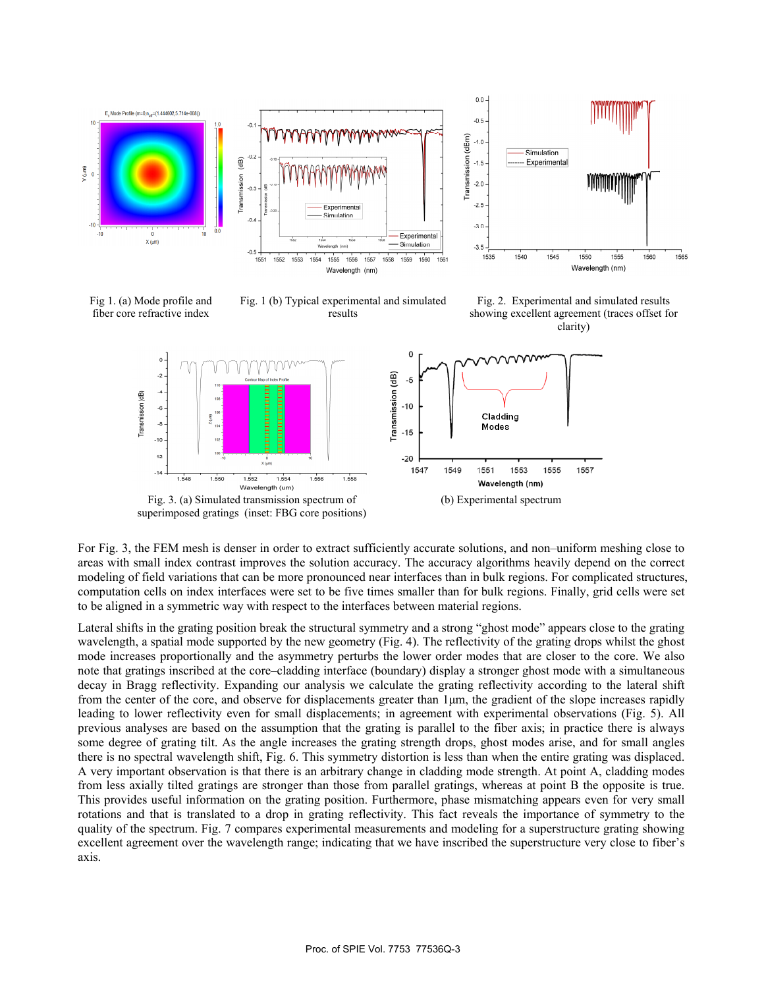

Fig 1. (a) Mode profile and fiber core refractive index







For Fig. 3, the FEM mesh is denser in order to extract sufficiently accurate solutions, and non–uniform meshing close to areas with small index contrast improves the solution accuracy. The accuracy algorithms heavily depend on the correct modeling of field variations that can be more pronounced near interfaces than in bulk regions. For complicated structures, computation cells on index interfaces were set to be five times smaller than for bulk regions. Finally, grid cells were set to be aligned in a symmetric way with respect to the interfaces between material regions.

Lateral shifts in the grating position break the structural symmetry and a strong "ghost mode" appears close to the grating wavelength, a spatial mode supported by the new geometry (Fig. 4). The reflectivity of the grating drops whilst the ghost mode increases proportionally and the asymmetry perturbs the lower order modes that are closer to the core. We also note that gratings inscribed at the core–cladding interface (boundary) display a stronger ghost mode with a simultaneous decay in Bragg reflectivity. Expanding our analysis we calculate the grating reflectivity according to the lateral shift from the center of the core, and observe for displacements greater than 1μm, the gradient of the slope increases rapidly leading to lower reflectivity even for small displacements; in agreement with experimental observations (Fig. 5). All previous analyses are based on the assumption that the grating is parallel to the fiber axis; in practice there is always some degree of grating tilt. As the angle increases the grating strength drops, ghost modes arise, and for small angles there is no spectral wavelength shift, Fig. 6. This symmetry distortion is less than when the entire grating was displaced. A very important observation is that there is an arbitrary change in cladding mode strength. At point A, cladding modes from less axially tilted gratings are stronger than those from parallel gratings, whereas at point B the opposite is true. This provides useful information on the grating position. Furthermore, phase mismatching appears even for very small rotations and that is translated to a drop in grating reflectivity. This fact reveals the importance of symmetry to the quality of the spectrum. Fig. 7 compares experimental measurements and modeling for a superstructure grating showing excellent agreement over the wavelength range; indicating that we have inscribed the superstructure very close to fiber's axis.